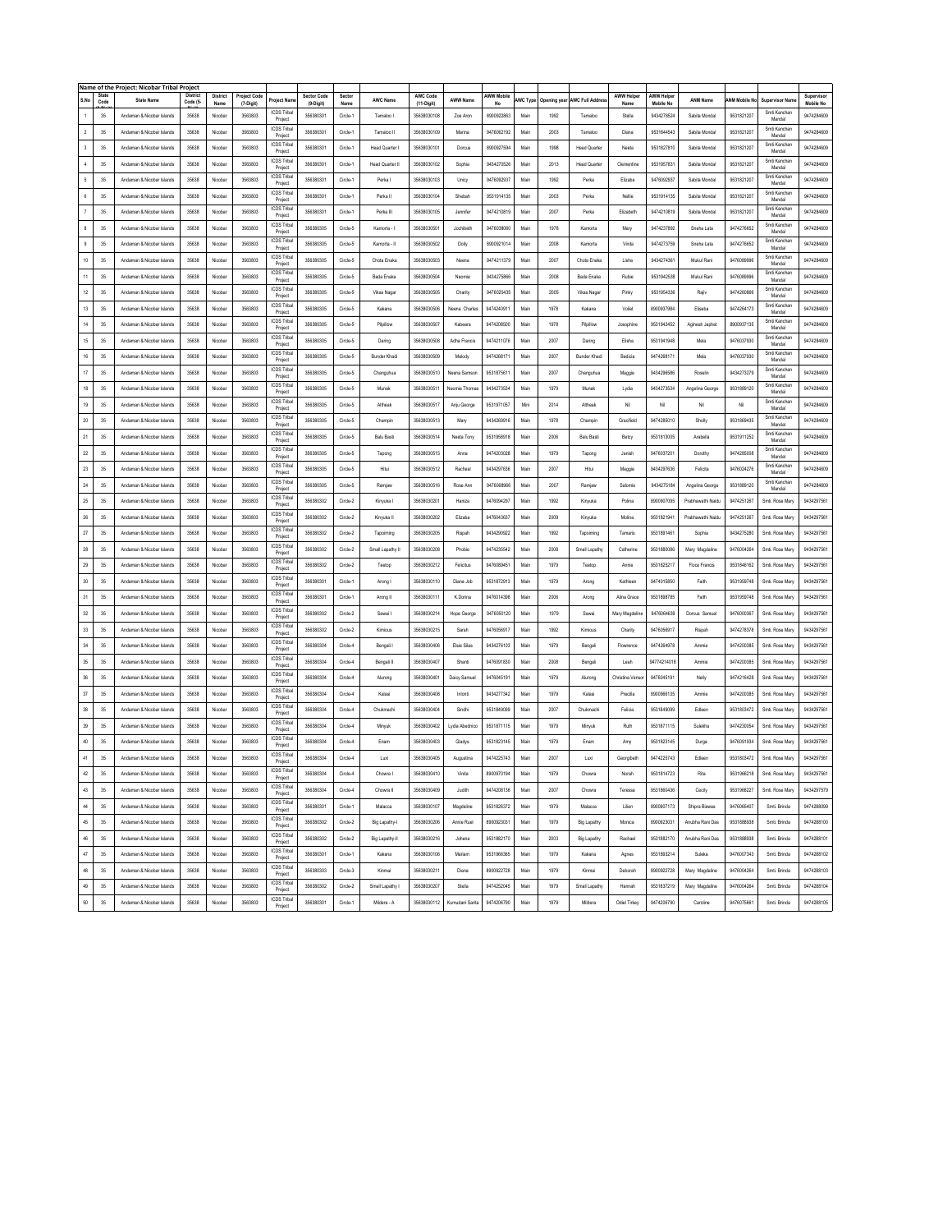|                      |               | Name of the Project: Nicobar Tribal Project |                            |                  |                           |                               |                                 |                |                     |                        |                 |                  |          |             |                        |                           |                               |                   |                      |                        |                                |
|----------------------|---------------|---------------------------------------------|----------------------------|------------------|---------------------------|-------------------------------|---------------------------------|----------------|---------------------|------------------------|-----------------|------------------|----------|-------------|------------------------|---------------------------|-------------------------------|-------------------|----------------------|------------------------|--------------------------------|
| S.No                 | State<br>Code | <b>State Name</b>                           | <b>District</b><br>Code (5 | District<br>Name | Project Code<br>(7-Digit) | <b>Project Nam</b>            | <b>Sector Code</b><br>(9-Digit) | Sector<br>Name | <b>AWC Name</b>     | AWC Code<br>(11-Digit) | <b>AWW Name</b> | AWW Mobile<br>No | AWC Type | Opening yea | <b>AWC Full Addres</b> | <b>AWW Helper</b><br>Name | <b>AWW Helpe</b><br>Mobile No | <b>ANM Name</b>   | <b>ANM Mobile No</b> | <b>Supervisor Nam</b>  | Supervisor<br><b>Mobile No</b> |
| $\ddot{\phantom{1}}$ | 35            | Andaman & Nicobar Islands                   | 35638                      | Nicobar          | 3563803                   | <b>ICDS Triba</b>             | 356380301                       | Circle-1       | Tamaloo I           | 35638030108            | Zoe Aron        | 8900922863       | Main     | 1992        | Tamaloo                | Stella                    | 9434278524                    | Sabita Mondal     | 9531821207           | Smti Kanchar           | 9474284609                     |
|                      |               |                                             |                            |                  |                           | Project<br><b>ICDS Tribal</b> |                                 |                |                     |                        |                 |                  |          |             |                        |                           |                               |                   |                      | Mandal<br>Smti Kanchan |                                |
| $\,2\,$              | 35            | Andaman & Nicobar Islands                   | 35638                      | Nicobar          | 3563803                   | Project                       | 356380301                       | Circle-1       | Tamaloo II          | 35638030109            | Marina          | 9476062192       | Main     | 2003        | Tamaloo                | Diana                     | 9531844543                    | Sabita Mondal     | 9531821207           | Mandal                 | 9474284609                     |
| $\mathsf 3$          | 35            | Andaman & Nicobar Islands                   | 35638                      | Nicobar          | 3563803                   | <b>ICDS Tribal</b><br>Project | 356380301                       | Circle-1       | <b>Head Quarter</b> | 35638030101            | Dorcus          | 8900927594       | Main     | 1998        | <b>Head Quarter</b>    | Neeta                     | 9531827810                    | Sabita Mondal     | 9531821207           | Smti Kanchan<br>Mandal | 9474284609                     |
| $4\,$                | 35            | Andaman & Nicobar Islands                   | 35638                      | Nicobar          | 3563803                   | <b>ICDS Triba</b><br>Project  | 356380301                       | Circle-1       | Head Quarter II     | 35638030102            | Sophia          | 9434270526       | Main     | 2013        | <b>Head Quarter</b>    | Clementine                | 9531957831                    | Sabita Mondal     | 9531821207           | Smti Kanchan<br>Mandal | 9474284609                     |
| $\mathsf{s}$         | 35            | Andaman & Nicobar Islands                   | 35638                      | Nicobar          | 3563803                   | <b>ICDS Triba</b>             | 356380301                       | Circle-1       | Perkal              | 35638030103            | Unicy           | 9476092937       | Main     | 1992        | Perka                  | Elizaba                   | 9476092937                    | Sabita Mondal     | 9531821207           | Smti Kanchan           | 9474284609                     |
|                      |               |                                             |                            |                  |                           | Project<br><b>ICDS Triba</b>  |                                 |                |                     |                        |                 |                  |          |             |                        |                           |                               |                   |                      | Mandal<br>Smti Kanchan |                                |
| $\mathsf{6}$         | 35            | Andaman & Nicobar Islands                   | 35638                      | Nicobar          | 3563803                   | Project                       | 356380301                       | Circle-1       | Perka II            | 35638030104            | Shebah          | 9531914135       | Main     | 2003        | Perka                  | Nellie                    | 9531914135                    | Sabita Mondal     | 9531821207           | Mandal                 | 9474284609                     |
| $\boldsymbol{7}$     | 35            | Andaman & Nicobar Islands                   | 35638                      | Nicobar          | 3563803                   | <b>ICDS Tribal</b><br>Project | 356380301                       | Circle-1       | Perka III           | 35638030105            | Jennifer        | 9474210819       | Main     | 2007        | Perka                  | Elizabeth                 | 9474210819                    | Sabita Mondal     | 9531821207           | Smti Kanchan<br>Mandal | 9474284609                     |
| $\bf 8$              | 35            | Andaman & Nicobar Islands                   | 35638                      | Nicobar          | 3563803                   | ICDS Tribal<br>Project        | 356380305                       | Circle-5       | Kamorta - I         | 35638030501            | Jochibeth       | 9476038060       | Main     | 1978        | Kamorta                | Mary                      | 9474237892                    | Sneha Lata        | 9474276652           | Smti Kanchan<br>Mandal | 9474284609                     |
| $\mathsf g$          | 35            | Andaman & Nicobar Islands                   | 35638                      | Nicobar          | 3563803                   | ICDS Tribal<br>Project        | 356380305                       | Circle-5       | Kamorta - II        | 35638030502            | Dolly           | 8900921014       | Main     | 2008        | Kamorta                | Vinita                    | 9474273759                    | Sneha Lata        | 9474276652           | Smti Kanchan<br>Mandal | 9474284609                     |
| $10$                 | 35            | Andaman & Nicobar Islands                   | 35638                      | Nicobar          | 3563803                   | <b>ICDS Tribal</b>            | 356380305                       | Circle-5       | Chota Enaka         | 35638030503            | Neena           | 9474211379       | Main     | 2007        | Chota Enaka            | Lisha                     | 9434274361                    | Mukul Rani        | 9476089996           | Smti Kanchan           | 9474284609                     |
| $11\,$               | 35            | Andaman & Nicobar Islands                   | 35638                      | Nicobar          | 3563803                   | Project<br>ICDS Triba         | 356380305                       | Circle-5       | Bada Enaka          | 35638030504            | Neomie          | 9434275866       | Main     | 2008        | Bada Enaka             | Rubie                     | 9531942538                    | Mukul Ran         | 9476089996           | Mandal<br>Smti Kanchan | 9474284609                     |
|                      |               |                                             |                            |                  |                           | Project<br><b>ICDS Triba</b>  |                                 |                |                     |                        |                 |                  |          |             |                        |                           |                               |                   |                      | Mandal<br>Smti Kanchan |                                |
| 12                   | 35            | Andaman & Nicobar Islands                   | 35638                      | Nicobar          | 3563803                   | Project                       | 356380305                       | Circle-5       | Vikas Nagar         | 35638030505            | Charity         | 9476020435       | Main     | 2005        | <b>Vikas Nagar</b>     | Pinky                     | 9531954336                    | Rajiv             | 9474260866           | Mandal                 | 9474284609                     |
| $13\,$               | 35            | Andaman & Nicobar Islands                   | 35638                      | Nicobar          | 3563803                   | ICDS Tribal<br>Project        | 356380305                       | Circle-5       | Kakana              | 35638030506            | Neena Charles   | 9474240911       | Main     | 1978        | Kakana                 | Voilet                    | 8900937984                    | Eliseba           | 9474264173           | Smti Kanchan<br>Mandal | 9474284609                     |
| $14\,$               | 35            | Andaman & Nicobar Islands                   | 35638                      | Nicobar          | 3563803                   | <b>ICDS Tribal</b><br>Project | 356380305                       | Circle-5       | Pilpillow           | 35638030507            | Kabeera         | 9474208500       | Main     | 1978        | Pilpillow              | Josophine                 | 9531942452                    | Aginesh Japhet    | 8900937135           | Smti Kanchan<br>Mandal | 9474284609                     |
| $15\,$               | 35            | Andaman & Nicobar Islands                   | 35638                      | Nicobar          | 3563803                   | <b>ICDS Triba</b>             | 356380305                       | Circle-5       | Daring              | 35638030508            | Adha Francis    | 9474211076       | Main     | 2007        | Daring                 | Elisha                    | 9531941948                    | Mela              | 9476037930           | Smti Kanchan           | 9474284609                     |
| $16\,$               | 35            | Andaman & Nicobar Islands                   | 35638                      | Nicobar          | 3563803                   | Project<br>ICDS Triba         | 356380305                       | Circle-5       | Bunder Khadi        | 35638030509            | Melody          | 9474268171       | Main     | 2007        | Bunder Khadi           | Bedicia                   | 9474268171                    | Mela              | 9476037930           | Mandal<br>Smti Kanchar | 9474284609                     |
|                      |               |                                             |                            |                  |                           | Project<br>ICDS Tribal        |                                 |                |                     |                        |                 |                  |          |             |                        |                           |                               |                   |                      | Mandal<br>Smti Kanchan |                                |
| $17\,$               | 35            | Andaman & Nicobar Islands                   | 35638                      | Nicobar          | 3563803                   | Project                       | 356380305                       | Circle-5       | Changuhua           | 35638030510            | Neena Samson    | 9531875611       | Main     | 2007        | Changuhua              | Maggie                    | 9434296586                    | Roselin           | 9434273279           | Mandal                 | 9474284609                     |
| $18\,$               | 35            | Andaman & Nicobar Islands                   | 35638                      | Nicobar          | 3563803                   | <b>ICDS Triba</b><br>Project  | 356380305                       | Circle-5       | Munak               | 35638030511            | Neomie Thomas   | 9434273534       | Main     | 1979        | Munak                  | Lydia                     | 9434273534                    | Angelina George   | 9531889120           | Smti Kanchan<br>Mandal | 9474284609                     |
| $19\,$               | 35            | Andaman & Nicobar Islands                   | 35638                      | Nicobar          | 3563803                   | <b>ICDS Tribal</b><br>Project | 356380305                       | Circle-5       | Altheak             | 35638030517            | Anju George     | 9531971057       | Mini     | 2014        | Altheak                | Nil                       | Ni                            | Ni                | Nil                  | Smti Kanchan<br>Mandal | 9474284609                     |
| $20\,$               | 35            | Andaman & Nicobar Islands                   | 35638                      | Nicobar          | 3563803                   | <b>ICDS Tribal</b>            | 356380305                       | Circle-5       | Champin             | 35638030513            | Mary            | 9434269916       | Main     | 1978        | Champin                | Gracifield                | 9474285010                    | Sholly            | 9531869435           | Smti Kanchan           | 9474284609                     |
| $21\,$               | 35            | Andaman & Nicobar Islands                   | 35638                      | Nicobar          | 3563803                   | Project<br><b>ICDS Triba</b>  | 356380305                       | Circle-5       | Balu Basti          | 35638030514            | Neeta Tony      | 9531958918       | Main     | 2006        | Balu Basti             | Betcy                     | 9531813005                    | Arabella          | 9531911252           | Mandal<br>Smti Kanchan | 9474284609                     |
|                      |               |                                             |                            |                  |                           | Project<br><b>ICDS Triba</b>  |                                 |                |                     |                        |                 |                  |          |             |                        |                           |                               |                   |                      | Mandal<br>Smti Kanchan |                                |
| $22\,$               | 35            | Andaman & Nicobar Islands                   | 35638                      | Nicobar          | 3563803                   | Project                       | 356380305                       | Circle-5       | Tapong              | 35638030515            | Anna            | 9474203028       | Main     | 1979        | Tapong                 | Janish                    | 9476037201                    | Dorothy           | 9474285008           | Mandal                 | 9474284609                     |
| $23\,$               | 35            | Andaman & Nicobar Islands                   | 35638                      | Nicobar          | 3563803                   | <b>ICDS Triba</b><br>Project  | 356380305                       | Circle-5       | Hitui               | 35638030512            | Racheal         | 9434297636       | Main     | 2007        | Hitui                  | Maggie                    | 9434297636                    | Felicita          | 9476024276           | Smti Kanchan<br>Mandal | 9474284609                     |
| $24\,$               | 35            | Andaman & Nicobar Islands                   | 35638                      | Nicobar          | 3563803                   | ICDS Tribal<br>Project        | 356380305                       | Circle-5       | Ramjaw              | 35638030516            | Rose Ann        | 9476068966       | Main     | 2007        | Ramjaw                 | Salomie                   | 9434275184                    | Angelina George   | 9531889120           | Smti Kanchar<br>Mandal | 9474284609                     |
| $2\mathsf{S}$        | 35            | Andaman & Nicobar Islands                   | 35638                      | Nicobar          | 3563803                   | <b>ICDS Tribal</b><br>Project | 356380302                       | Circle-2       | Kinyuka I           | 35638030201            | Haniza          | 9476094297       | Main     | 1992        | Kinyuka                | Polina                    | 8900907095                    | Prabhawathi Naidu | 9474251267           | Smt. Rose Mary         | 9434297561                     |
| $26\,$               | 35            | Andaman & Nicobar Islands                   | 35638                      | Nicobar          | 3563803                   | <b>ICDS Tribal</b>            | 356380302                       | Circle-2       | Kinyuka II          | 35638030202            | Elizaba         | 9476043637       | Main     | 2009        | Kinyuka                | Molina                    | 9531821941                    | Prabhawathi Naidu | 9474251267           | Smti. Rose Mary        | 9434297561                     |
|                      |               |                                             |                            |                  |                           | Project<br>ICDS Tribal        |                                 |                |                     |                        |                 |                  |          |             |                        |                           |                               |                   |                      |                        |                                |
| $27\,$               | 35            | Andaman & Nicobar Islands                   | 35638                      | Nicobar          | 3563803                   | Project                       | 356380302                       | Circle-2       | Tapoiming           | 35638030205            | Rispah          | 9434290922       | Main     | 1992        | Tapoiming              | Tamaris                   | 9531891461                    | Sophia            | 9434275280           | Smti. Rose Mary        | 9434297561                     |
| $\bf 28$             | 35            | Andaman & Nicobar Islands                   | 35638                      | Nicobar          | 3563803                   | <b>ICDS Tribal</b><br>Project | 356380302                       | Circle-2       | Small Lapathy I     | 35638030208            | Phobie          | 9474235542       | Main     | 2008        | Small Lapathy          | Catherine                 | 9531880086                    | Mary Magdaline    | 9476004264           | Smti. Rose Mary        | 9434297561                     |
| $29\,$               | 35            | Andaman & Nicobar Islands                   | 35638                      | Nicobar          | 3563803                   | <b>ICDS Triba</b><br>Project  | 356380302                       | Circle-2       | Teetop              | 35638030212            | Felicitus       | 9476089451       | Main     | 1979        | Teetop                 | Annie                     | 9531825217                    | Floce Francis     | 9531846162           | Smti. Rose Mary        | 9434297561                     |
| $_{\rm 30}$          | 35            | Andaman & Nicobar Islands                   | 35638                      | Nicobar          | 3563803                   | <b>ICDS Triba</b><br>Project  | 356380301                       | Circle-1       | Arong I             | 35638030110            | Diana Job       | 9531872913       | Main     | 1979        | Arong                  | Kathleen                  | 9474015850                    | Faith             | 9531959748           | Smt. Rose Mary         | 9434297561                     |
| $31\,$               | 35            | Andaman & Nicobar Islands                   | 35638                      | Nicobar          | 3563803                   | <b>ICDS Tribal</b>            | 356380301                       | Circle-1       | Arong II            | 35638030111            | K.Dorina        | 9476014398       | Main     | 2006        | Arong                  | Alina Grace               | 9531898785                    | Faith             | 9531959748           | Smti, Rose Mary        | 9434297561                     |
|                      |               |                                             |                            |                  |                           | Project<br><b>ICDS Triba</b>  |                                 |                |                     |                        |                 |                  |          |             |                        |                           |                               |                   |                      |                        |                                |
| $32\,$               | 35            | Andaman & Nicobar Islands                   | 35638                      | Nicobar          | 3563803                   | Project                       | 356380302                       | Circle-2       | Sawai I             | 35638030214            | Hope George     | 9476050120       | Main     | 1979        | Sawai                  | Mary Magdeline            | 9476064639                    | Dorcus Samuel     | 9476000367           | Smt. Rose Mary         | 9434297561                     |
| $_{33}$              | 35            | Andaman & Nicobar Islands                   | 35638                      | Nicobar          | 3563803                   | ICDS Tribal<br>Project        | 356380302                       | Circle-2       | Kimious             | 35638030215            | Sarah           | 9476056917       | Main     | 1992        | Kimious                | Charity                   | 9476056917                    | Rispah            | 9474278378           | Smti. Rose Mary        | 9434297561                     |
| $34\,$               | 35            | Andaman & Nicobar Islands                   | 35638                      | Nicobar          | 3563803                   | ICDS Tribal<br>Project        | 356380304                       | Circle-4       | Bengali I           | 35638030406            | Elsie Silas     | 9434276103       | Main     | 1979        | Bengali                | Flowrence                 | 9474264978                    | Ammie             | 9474200385           | Smti. Rose Mary        | 9434297561                     |
| $35\,$               | 35            | Andaman & Nicobar Islands                   | 35638                      | Nicobar          | 3563803                   | <b>ICDS Tribal</b><br>Project | 356380304                       | Circle-4       | Bengali II          | 35638030407            | Shanti          | 9476091830       | Main     | 2008        | Bengali                | Leah                      | 94774214018                   | Ammie             | 9474200385           | Smti. Rose Mary        | 9434297561                     |
| $36\,$               | 35            | Andaman & Nicobar Islands                   | 35638                      | Nicobar          | 3563803                   | ICDS Tribal                   | 356380304                       | Circle-4       | Alurong             | 35638030401            | Daicy Samue     | 9476045191       | Main     | 1979        | Alurong                | Christina Venso           | 9476045191                    | Nelly             | 9474216428           | Smti. Rose Mary        | 9434297561                     |
| $37\,$               | 35            | Andaman & Nicobar Islands                   | 35638                      | Nicobar          | 3563803                   | Project<br><b>ICDS Triba</b>  | 356380304                       | Circle-4       | Kalasi              | 35638030408            | Inlonti         | 9434277342       | Main     | 1979        | Kalasi                 | Precilla                  | 8900966135                    | Ammie             | 9474200385           | Smti. Rose Mary        | 9434297561                     |
|                      |               |                                             |                            |                  |                           | Project<br><b>ICDS Triba</b>  |                                 |                |                     |                        |                 |                  |          |             |                        |                           |                               |                   |                      |                        |                                |
| $_{38}$              | 35            | Andaman & Nicobar Islands                   | 35638                      | Nicobar          | 3563803                   | Project                       | 356380304                       | Circle-4       | Chukmachi           | 35638030404            | Sindhi          | 9531849099       | Main     | 2007        | Chukmachi              | Felicia                   | 9531849099                    | Edleen            | 9531803472           | Smti, Rose Mary        | 9434297561                     |
| $39\,$               | 35            | Andaman & Nicobar Islands                   | 35638                      | Nicobar          | 3563803                   | <b>ICDS Triba</b><br>Project  | 356380304                       | Circle-4       | Minyuk              | 35638030402            | Lydia Abednico  | 9531871115       | Main     | 1979        | Minyuk                 | Ruth                      | 9531871115                    | Sulekha           | 9474230054           | Smti. Rose Mary        | 9434297561                     |
| $40\,$               | 35            | Andaman & Nicobar Islands                   | 35638                      | Nicobar          | 3563803                   | <b>ICDS Triba</b><br>Project  | 356380304                       | Circle-4       | Enam                | 35638030403            | Gladys          | 9531823145       | Main     | 1979        | Enam                   | Amy                       | 9531823145                    | Durga             | 9476091934           | Smti. Rose Mary        | 9434297561                     |
| 41                   | 35            | Andaman & Nicobar Islands                   | 35638                      | Nicobar          | 3563803                   | <b>ICDS Tribal</b>            | 356380304                       | Circle-4       | Luxi                | 35638030405            | Augustina       | 9474225743       | Main     | 2007        | Luxi                   | Georgibeth                | 9474225743                    | Edleen            | 9531803472           | Smti Rose Mary         | 9434297561                     |
| $42\,$               | 35            | Andaman & Nicobar Islands                   | 35638                      | Nicobar          | 3563803                   | Project<br><b>ICDS Tribal</b> | 356380304                       | Circle-4       | Chowra I            | 35638030410            | Vinita          | 8900970194       | Main     | 1979        | Chowra                 | Norah                     | 9531814723                    | Rita              | 9531966218           | Smti, Rose Mary        | 9434297561                     |
|                      |               |                                             |                            |                  |                           | Project<br><b>ICDS Tribal</b> |                                 |                |                     |                        |                 |                  |          |             |                        |                           |                               |                   |                      |                        |                                |
| $43\,$               | $35\,$        | Andaman & Nicobar Islands                   | 35638                      | Nicobar          | 3563803                   | Project                       | 356380304                       | Circle-4       | Chowra II           | 35638030409            | Judith          | 9474208136       | Main     | 2007        | Chowra                 | Teressa                   | 9531860436                    | Cecily            | 9531968227           | Smt. Rose Mary         | 9434297579                     |
| $44\,$               | 35            | Andaman & Nicobar Islands                   | 35638                      | Nicobar          | 3563803                   | <b>ICDS Tribal</b><br>Project | 356380301                       | Circle-1       | Malacca             | 35638030107            | Magdeline       | 9531826372       | Main     | 1979        | Malacca                | Lilien                    | 8900907173                    | Shipra Biswas     | 9476065407           | Smti, Brinda           | 9474288099                     |
| $45\,$               | 35            | Andaman & Nicobar Islands                   | 35638                      | Nicobar          | 3563803                   | <b>ICDS Tribal</b><br>Project | 356380302                       | Circle-2       | Big Lapathy-I       | 35638030206            | Annie Ruel      | 8900923031       | Main     | 1979        | Big Lapathy            | Monica                    | 8900923031                    | Anubha Rani Das   | 9531888938           | Smti. Brinda           | 9474288100                     |
| 46                   | 35            | Andaman & Nicobar Islands                   | 35638                      | Nicobar          | 3563803                   | <b>ICDS Triba</b><br>Project  | 356380302                       | Circle-2       | Big Lapathy-II      | 35638030216            | Johena          | 9531882170       | Main     | 2003        | Big Lapathy            | Rachael                   | 9531882170                    | Anubha Rani Das   | 9531888938           | Smti. Brinda           | 9474288101                     |
| $47\,$               | 35            | Andaman & Nicobar Islands                   | 35638                      | Nicobar          | 3563803                   | <b>ICDS Tribal</b>            | 356380301                       | Circle-1       | Kakana              | 35638030106            | Mariam          | 9531966365       | Main     | 1979        | Kakana                 | Agnes                     | 9531893214                    | Suleka            | 9476007343           | Smti. Brinda           | 9474288102                     |
|                      |               |                                             |                            |                  |                           | Project<br><b>ICDS Triba</b>  |                                 |                |                     |                        |                 |                  |          |             |                        |                           |                               |                   |                      |                        |                                |
| 48                   | 35            | Andaman & Nicobar Islands                   | 35638                      | Nicobar          | 3563803                   | Project                       | 356380303                       | Circle-3       | Kinmai              | 35638030211            | Diana           | 8900922728       | Main     | 1979        | Kinmai                 | Deborah                   | 8900922728                    | Mary Magdaline    | 9476004264           | Smti. Brinda           | 9474288103                     |
| 49                   | 35            | Andaman & Nicobar Islands                   | 35638                      | Nicobar          | 3563803                   | <b>ICDS Tribal</b><br>Project | 356380302                       | Circle-2       | Small Lapathy I     | 35638030207            | Stella          | 9474252045       | Main     | 1979        | Small Lapathy          | Hannah                    | 9531837219                    | Mary Magdaline    | 9476004264           | Smti, Brinda           | 9474288104                     |
| $50\,$               | $35\,$        | Andaman & Nicobar Islands                   | 35638                      | Nicobar          | 3563803                   | <b>ICDS Triba</b><br>Project  | 356380301                       | Circle-1       | Mildera - A         | 35638030112            | Kumudani Sarita | 9474206790       | Main     | 1979        | Mildera                | Odiel Tirkey              | 9474206790                    | Caroline          | 9476075661           | Smti, Brinda           | 9474288105                     |